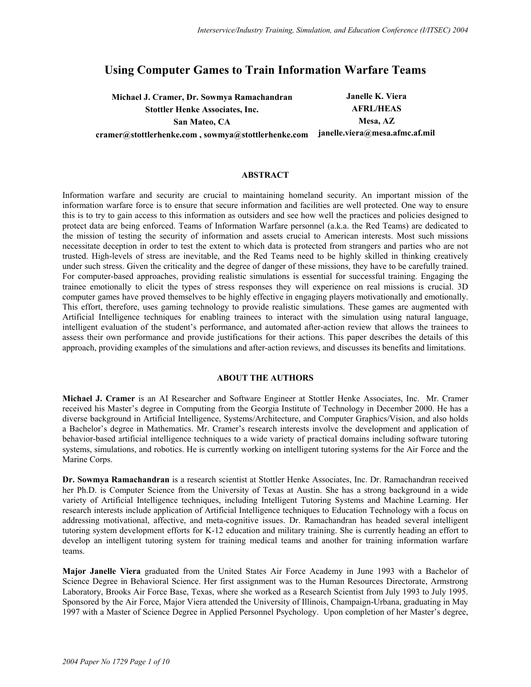# **Using Computer Games to Train Information Warfare Teams**

**Michael J. Cramer, Dr. Sowmya Ramachandran Janelle K. Viera Stottler Henke Associates, Inc.** AFRL/HEAS San Mateo, CA **Mesa**, AZ **cramer@stottlerhenke.com , sowmya@stottlerhenke.com janelle.viera@mesa.afmc.af.mil** 

# **ABSTRACT**

Information warfare and security are crucial to maintaining homeland security. An important mission of the information warfare force is to ensure that secure information and facilities are well protected. One way to ensure this is to try to gain access to this information as outsiders and see how well the practices and policies designed to protect data are being enforced. Teams of Information Warfare personnel (a.k.a. the Red Teams) are dedicated to the mission of testing the security of information and assets crucial to American interests. Most such missions necessitate deception in order to test the extent to which data is protected from strangers and parties who are not trusted. High-levels of stress are inevitable, and the Red Teams need to be highly skilled in thinking creatively under such stress. Given the criticality and the degree of danger of these missions, they have to be carefully trained. For computer-based approaches, providing realistic simulations is essential for successful training. Engaging the trainee emotionally to elicit the types of stress responses they will experience on real missions is crucial. 3D computer games have proved themselves to be highly effective in engaging players motivationally and emotionally. This effort, therefore, uses gaming technology to provide realistic simulations. These games are augmented with Artificial Intelligence techniques for enabling trainees to interact with the simulation using natural language, intelligent evaluation of the student's performance, and automated after-action review that allows the trainees to assess their own performance and provide justifications for their actions. This paper describes the details of this approach, providing examples of the simulations and after-action reviews, and discusses its benefits and limitations.

#### **ABOUT THE AUTHORS**

**Michael J. Cramer** is an AI Researcher and Software Engineer at Stottler Henke Associates, Inc. Mr. Cramer received his Master's degree in Computing from the Georgia Institute of Technology in December 2000. He has a diverse background in Artificial Intelligence, Systems/Architecture, and Computer Graphics/Vision, and also holds a Bachelor's degree in Mathematics. Mr. Cramer's research interests involve the development and application of behavior-based artificial intelligence techniques to a wide variety of practical domains including software tutoring systems, simulations, and robotics. He is currently working on intelligent tutoring systems for the Air Force and the Marine Corps.

**Dr. Sowmya Ramachandran** is a research scientist at Stottler Henke Associates, Inc. Dr. Ramachandran received her Ph.D. is Computer Science from the University of Texas at Austin. She has a strong background in a wide variety of Artificial Intelligence techniques, including Intelligent Tutoring Systems and Machine Learning. Her research interests include application of Artificial Intelligence techniques to Education Technology with a focus on addressing motivational, affective, and meta-cognitive issues. Dr. Ramachandran has headed several intelligent tutoring system development efforts for K-12 education and military training. She is currently heading an effort to develop an intelligent tutoring system for training medical teams and another for training information warfare teams.

**Major Janelle Viera** graduated from the United States Air Force Academy in June 1993 with a Bachelor of Science Degree in Behavioral Science. Her first assignment was to the Human Resources Directorate, Armstrong Laboratory, Brooks Air Force Base, Texas, where she worked as a Research Scientist from July 1993 to July 1995. Sponsored by the Air Force, Major Viera attended the University of Illinois, Champaign-Urbana, graduating in May 1997 with a Master of Science Degree in Applied Personnel Psychology. Upon completion of her Master's degree,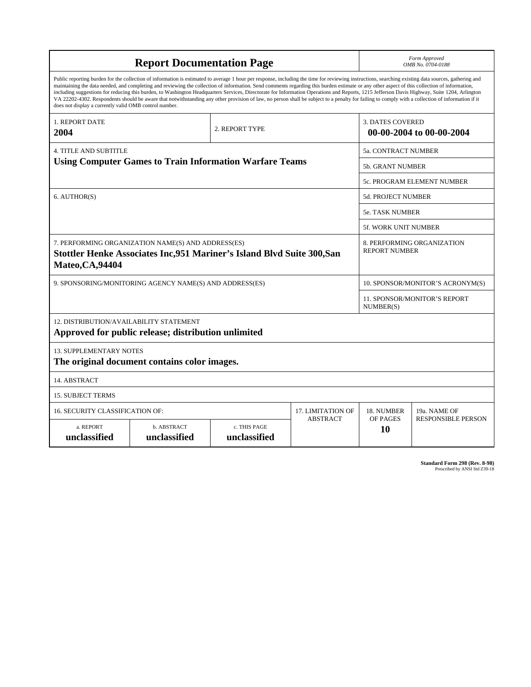| <b>Report Documentation Page</b>                                                                                                                                                                                                                                                                                                                                                                                                                                                                                                                                                                                                                                                                                                                                                                                                                                   |                             |                              |                 |                                                    | Form Approved<br>OMB No. 0704-0188 |  |  |
|--------------------------------------------------------------------------------------------------------------------------------------------------------------------------------------------------------------------------------------------------------------------------------------------------------------------------------------------------------------------------------------------------------------------------------------------------------------------------------------------------------------------------------------------------------------------------------------------------------------------------------------------------------------------------------------------------------------------------------------------------------------------------------------------------------------------------------------------------------------------|-----------------------------|------------------------------|-----------------|----------------------------------------------------|------------------------------------|--|--|
| Public reporting burden for the collection of information is estimated to average 1 hour per response, including the time for reviewing instructions, searching existing data sources, gathering and<br>maintaining the data needed, and completing and reviewing the collection of information. Send comments regarding this burden estimate or any other aspect of this collection of information,<br>including suggestions for reducing this burden, to Washington Headquarters Services, Directorate for Information Operations and Reports, 1215 Jefferson Davis Highway, Suite 1204, Arlington<br>VA 22202-4302. Respondents should be aware that notwithstanding any other provision of law, no person shall be subject to a penalty for failing to comply with a collection of information if it<br>does not display a currently valid OMB control number. |                             |                              |                 |                                                    |                                    |  |  |
| <b>1. REPORT DATE</b><br>2004                                                                                                                                                                                                                                                                                                                                                                                                                                                                                                                                                                                                                                                                                                                                                                                                                                      |                             | 2. REPORT TYPE               |                 | <b>3. DATES COVERED</b>                            | 00-00-2004 to 00-00-2004           |  |  |
| <b>4. TITLE AND SUBTITLE</b>                                                                                                                                                                                                                                                                                                                                                                                                                                                                                                                                                                                                                                                                                                                                                                                                                                       |                             | 5a. CONTRACT NUMBER          |                 |                                                    |                                    |  |  |
| <b>Using Computer Games to Train Information Warfare Teams</b>                                                                                                                                                                                                                                                                                                                                                                                                                                                                                                                                                                                                                                                                                                                                                                                                     |                             |                              |                 | 5b. GRANT NUMBER                                   |                                    |  |  |
|                                                                                                                                                                                                                                                                                                                                                                                                                                                                                                                                                                                                                                                                                                                                                                                                                                                                    |                             |                              |                 |                                                    | 5c. PROGRAM ELEMENT NUMBER         |  |  |
| 6. AUTHOR(S)                                                                                                                                                                                                                                                                                                                                                                                                                                                                                                                                                                                                                                                                                                                                                                                                                                                       |                             |                              |                 | 5d. PROJECT NUMBER                                 |                                    |  |  |
|                                                                                                                                                                                                                                                                                                                                                                                                                                                                                                                                                                                                                                                                                                                                                                                                                                                                    |                             |                              |                 | <b>5e. TASK NUMBER</b>                             |                                    |  |  |
|                                                                                                                                                                                                                                                                                                                                                                                                                                                                                                                                                                                                                                                                                                                                                                                                                                                                    |                             |                              |                 | <b>5f. WORK UNIT NUMBER</b>                        |                                    |  |  |
| 7. PERFORMING ORGANIZATION NAME(S) AND ADDRESS(ES)<br>Stottler Henke Associates Inc, 951 Mariner's Island Blvd Suite 300, San<br><b>Mateo, CA, 94404</b>                                                                                                                                                                                                                                                                                                                                                                                                                                                                                                                                                                                                                                                                                                           |                             |                              |                 | 8. PERFORMING ORGANIZATION<br><b>REPORT NUMBER</b> |                                    |  |  |
| 9. SPONSORING/MONITORING AGENCY NAME(S) AND ADDRESS(ES)                                                                                                                                                                                                                                                                                                                                                                                                                                                                                                                                                                                                                                                                                                                                                                                                            |                             |                              |                 | 10. SPONSOR/MONITOR'S ACRONYM(S)                   |                                    |  |  |
|                                                                                                                                                                                                                                                                                                                                                                                                                                                                                                                                                                                                                                                                                                                                                                                                                                                                    |                             |                              |                 | 11. SPONSOR/MONITOR'S REPORT<br>NUMBER(S)          |                                    |  |  |
| 12. DISTRIBUTION/AVAILABILITY STATEMENT<br>Approved for public release; distribution unlimited                                                                                                                                                                                                                                                                                                                                                                                                                                                                                                                                                                                                                                                                                                                                                                     |                             |                              |                 |                                                    |                                    |  |  |
| <b>13. SUPPLEMENTARY NOTES</b><br>The original document contains color images.                                                                                                                                                                                                                                                                                                                                                                                                                                                                                                                                                                                                                                                                                                                                                                                     |                             |                              |                 |                                                    |                                    |  |  |
| 14. ABSTRACT                                                                                                                                                                                                                                                                                                                                                                                                                                                                                                                                                                                                                                                                                                                                                                                                                                                       |                             |                              |                 |                                                    |                                    |  |  |
| <b>15. SUBJECT TERMS</b>                                                                                                                                                                                                                                                                                                                                                                                                                                                                                                                                                                                                                                                                                                                                                                                                                                           |                             |                              |                 |                                                    |                                    |  |  |
| 16. SECURITY CLASSIFICATION OF:<br>17. LIMITATION OF                                                                                                                                                                                                                                                                                                                                                                                                                                                                                                                                                                                                                                                                                                                                                                                                               |                             |                              |                 | 18. NUMBER                                         | 19a. NAME OF                       |  |  |
| a. REPORT<br>unclassified                                                                                                                                                                                                                                                                                                                                                                                                                                                                                                                                                                                                                                                                                                                                                                                                                                          | b. ABSTRACT<br>unclassified | c. THIS PAGE<br>unclassified | <b>ABSTRACT</b> | OF PAGES<br>10                                     | <b>RESPONSIBLE PERSON</b>          |  |  |

| Standard Form 298 (Rev. 8-98) |                               |  |  |
|-------------------------------|-------------------------------|--|--|
|                               | Prescribed by ANSI Std Z39-18 |  |  |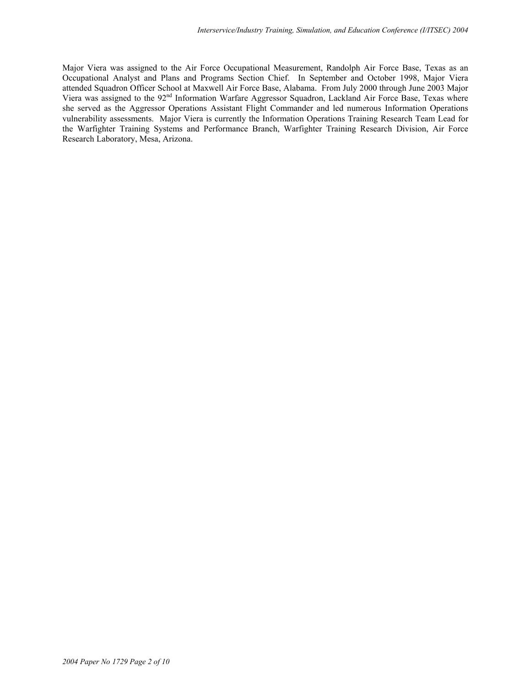Major Viera was assigned to the Air Force Occupational Measurement, Randolph Air Force Base, Texas as an Occupational Analyst and Plans and Programs Section Chief. In September and October 1998, Major Viera attended Squadron Officer School at Maxwell Air Force Base, Alabama. From July 2000 through June 2003 Major Viera was assigned to the 92<sup>nd</sup> Information Warfare Aggressor Squadron, Lackland Air Force Base, Texas where she served as the Aggressor Operations Assistant Flight Commander and led numerous Information Operations vulnerability assessments. Major Viera is currently the Information Operations Training Research Team Lead for the Warfighter Training Systems and Performance Branch, Warfighter Training Research Division, Air Force Research Laboratory, Mesa, Arizona.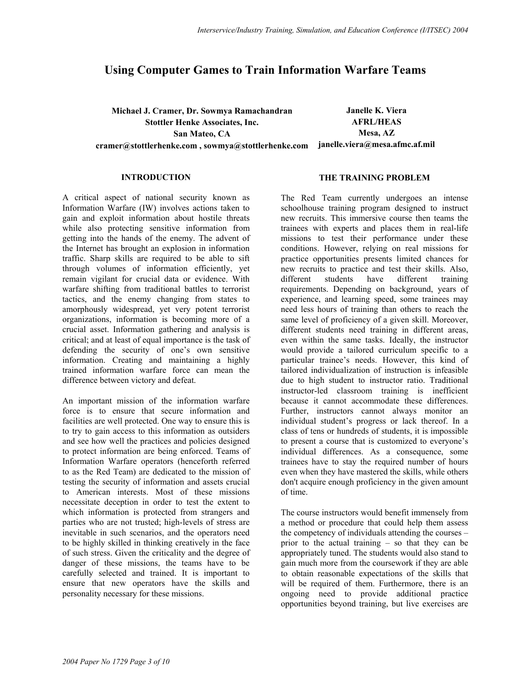# **Using Computer Games to Train Information Warfare Teams**

**Michael J. Cramer, Dr. Sowmya Ramachandran Janelle K. Viera Stottler Henke Associates, Inc. AFRL/HEAS**  San Mateo, CA **Mesa, AZ cramer@stottlerhenke.com , sowmya@stottlerhenke.com janelle.viera@mesa.afmc.af.mil** 

#### **INTRODUCTION**

A critical aspect of national security known as Information Warfare (IW) involves actions taken to gain and exploit information about hostile threats while also protecting sensitive information from getting into the hands of the enemy. The advent of the Internet has brought an explosion in information traffic. Sharp skills are required to be able to sift through volumes of information efficiently, yet remain vigilant for crucial data or evidence. With warfare shifting from traditional battles to terrorist tactics, and the enemy changing from states to amorphously widespread, yet very potent terrorist organizations, information is becoming more of a crucial asset. Information gathering and analysis is critical; and at least of equal importance is the task of defending the security of one's own sensitive information. Creating and maintaining a highly trained information warfare force can mean the difference between victory and defeat.

An important mission of the information warfare force is to ensure that secure information and facilities are well protected. One way to ensure this is to try to gain access to this information as outsiders and see how well the practices and policies designed to protect information are being enforced. Teams of Information Warfare operators (henceforth referred to as the Red Team) are dedicated to the mission of testing the security of information and assets crucial to American interests. Most of these missions necessitate deception in order to test the extent to which information is protected from strangers and parties who are not trusted; high-levels of stress are inevitable in such scenarios, and the operators need to be highly skilled in thinking creatively in the face of such stress. Given the criticality and the degree of danger of these missions, the teams have to be carefully selected and trained. It is important to ensure that new operators have the skills and personality necessary for these missions.

#### **THE TRAINING PROBLEM**

The Red Team currently undergoes an intense schoolhouse training program designed to instruct new recruits. This immersive course then teams the trainees with experts and places them in real-life missions to test their performance under these conditions. However, relying on real missions for practice opportunities presents limited chances for new recruits to practice and test their skills. Also, different students have different training requirements. Depending on background, years of experience, and learning speed, some trainees may need less hours of training than others to reach the same level of proficiency of a given skill. Moreover, different students need training in different areas, even within the same tasks. Ideally, the instructor would provide a tailored curriculum specific to a particular trainee's needs. However, this kind of tailored individualization of instruction is infeasible due to high student to instructor ratio. Traditional instructor-led classroom training is inefficient because it cannot accommodate these differences. Further, instructors cannot always monitor an individual student's progress or lack thereof. In a class of tens or hundreds of students, it is impossible to present a course that is customized to everyone's individual differences. As a consequence, some trainees have to stay the required number of hours even when they have mastered the skills, while others don't acquire enough proficiency in the given amount of time.

The course instructors would benefit immensely from a method or procedure that could help them assess the competency of individuals attending the courses – prior to the actual training – so that they can be appropriately tuned. The students would also stand to gain much more from the coursework if they are able to obtain reasonable expectations of the skills that will be required of them. Furthermore, there is an ongoing need to provide additional practice opportunities beyond training, but live exercises are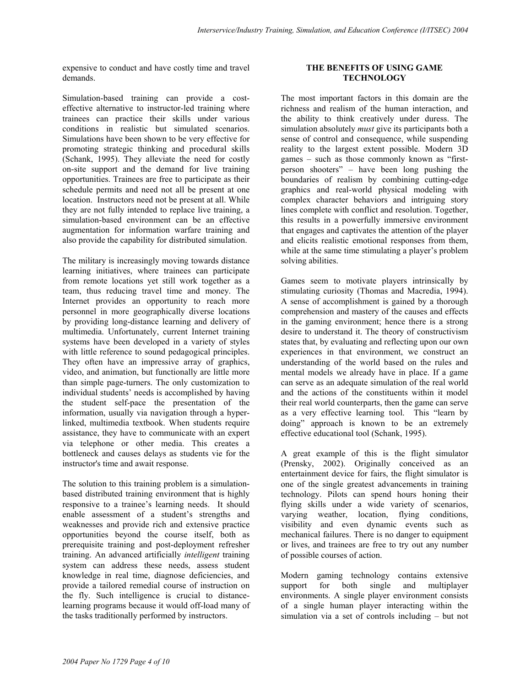expensive to conduct and have costly time and travel demands.

Simulation-based training can provide a costeffective alternative to instructor-led training where trainees can practice their skills under various conditions in realistic but simulated scenarios. Simulations have been shown to be very effective for promoting strategic thinking and procedural skills (Schank, 1995). They alleviate the need for costly on-site support and the demand for live training opportunities. Trainees are free to participate as their schedule permits and need not all be present at one location. Instructors need not be present at all. While they are not fully intended to replace live training, a simulation-based environment can be an effective augmentation for information warfare training and also provide the capability for distributed simulation.

The military is increasingly moving towards distance learning initiatives, where trainees can participate from remote locations yet still work together as a team, thus reducing travel time and money. The Internet provides an opportunity to reach more personnel in more geographically diverse locations by providing long-distance learning and delivery of multimedia. Unfortunately, current Internet training systems have been developed in a variety of styles with little reference to sound pedagogical principles. They often have an impressive array of graphics, video, and animation, but functionally are little more than simple page-turners. The only customization to individual students' needs is accomplished by having the student self-pace the presentation of the information, usually via navigation through a hyperlinked, multimedia textbook. When students require assistance, they have to communicate with an expert via telephone or other media. This creates a bottleneck and causes delays as students vie for the instructor's time and await response.

The solution to this training problem is a simulationbased distributed training environment that is highly responsive to a trainee's learning needs. It should enable assessment of a student's strengths and weaknesses and provide rich and extensive practice opportunities beyond the course itself, both as prerequisite training and post-deployment refresher training. An advanced artificially *intelligent* training system can address these needs, assess student knowledge in real time, diagnose deficiencies, and provide a tailored remedial course of instruction on the fly. Such intelligence is crucial to distancelearning programs because it would off-load many of the tasks traditionally performed by instructors.

# **THE BENEFITS OF USING GAME TECHNOLOGY**

The most important factors in this domain are the richness and realism of the human interaction, and the ability to think creatively under duress. The simulation absolutely *must* give its participants both a sense of control and consequence, while suspending reality to the largest extent possible. Modern 3D games – such as those commonly known as "firstperson shooters" – have been long pushing the boundaries of realism by combining cutting-edge graphics and real-world physical modeling with complex character behaviors and intriguing story lines complete with conflict and resolution. Together, this results in a powerfully immersive environment that engages and captivates the attention of the player and elicits realistic emotional responses from them, while at the same time stimulating a player's problem solving abilities.

Games seem to motivate players intrinsically by stimulating curiosity (Thomas and Macredia, 1994). A sense of accomplishment is gained by a thorough comprehension and mastery of the causes and effects in the gaming environment; hence there is a strong desire to understand it. The theory of constructivism states that, by evaluating and reflecting upon our own experiences in that environment, we construct an understanding of the world based on the rules and mental models we already have in place. If a game can serve as an adequate simulation of the real world and the actions of the constituents within it model their real world counterparts, then the game can serve as a very effective learning tool. This "learn by doing" approach is known to be an extremely effective educational tool (Schank, 1995).

A great example of this is the flight simulator (Prensky, 2002). Originally conceived as an entertainment device for fairs, the flight simulator is one of the single greatest advancements in training technology. Pilots can spend hours honing their flying skills under a wide variety of scenarios, varying weather, location, flying conditions, visibility and even dynamic events such as mechanical failures. There is no danger to equipment or lives, and trainees are free to try out any number of possible courses of action.

Modern gaming technology contains extensive support for both single and multiplayer environments. A single player environment consists of a single human player interacting within the simulation via a set of controls including – but not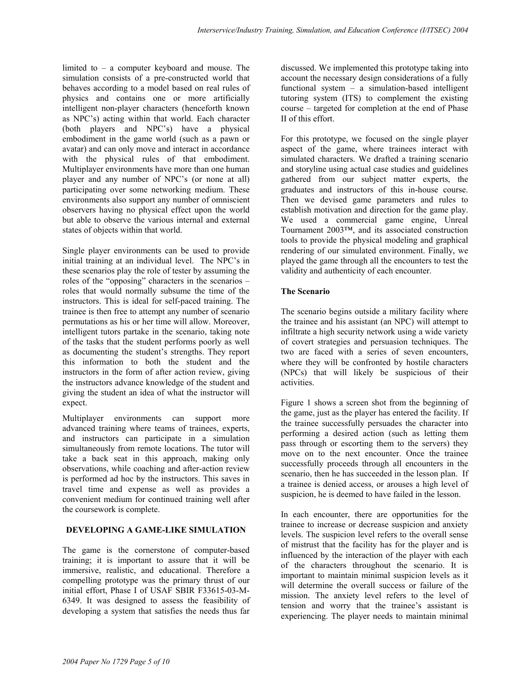limited to – a computer keyboard and mouse. The simulation consists of a pre-constructed world that behaves according to a model based on real rules of physics and contains one or more artificially intelligent non-player characters (henceforth known as NPC's) acting within that world. Each character (both players and NPC's) have a physical embodiment in the game world (such as a pawn or avatar) and can only move and interact in accordance with the physical rules of that embodiment. Multiplayer environments have more than one human player and any number of NPC's (or none at all) participating over some networking medium. These environments also support any number of omniscient observers having no physical effect upon the world but able to observe the various internal and external states of objects within that world.

Single player environments can be used to provide initial training at an individual level. The NPC's in these scenarios play the role of tester by assuming the roles of the "opposing" characters in the scenarios – roles that would normally subsume the time of the instructors. This is ideal for self-paced training. The trainee is then free to attempt any number of scenario permutations as his or her time will allow. Moreover, intelligent tutors partake in the scenario, taking note of the tasks that the student performs poorly as well as documenting the student's strengths. They report this information to both the student and the instructors in the form of after action review, giving the instructors advance knowledge of the student and giving the student an idea of what the instructor will expect.

Multiplayer environments can support more advanced training where teams of trainees, experts, and instructors can participate in a simulation simultaneously from remote locations. The tutor will take a back seat in this approach, making only observations, while coaching and after-action review is performed ad hoc by the instructors. This saves in travel time and expense as well as provides a convenient medium for continued training well after the coursework is complete.

# **DEVELOPING A GAME-LIKE SIMULATION**

The game is the cornerstone of computer-based training; it is important to assure that it will be immersive, realistic, and educational. Therefore a compelling prototype was the primary thrust of our initial effort, Phase I of USAF SBIR F33615-03-M-6349. It was designed to assess the feasibility of developing a system that satisfies the needs thus far

discussed. We implemented this prototype taking into account the necessary design considerations of a fully functional system – a simulation-based intelligent tutoring system (ITS) to complement the existing course – targeted for completion at the end of Phase II of this effort.

For this prototype, we focused on the single player aspect of the game, where trainees interact with simulated characters. We drafted a training scenario and storyline using actual case studies and guidelines gathered from our subject matter experts, the graduates and instructors of this in-house course. Then we devised game parameters and rules to establish motivation and direction for the game play. We used a commercial game engine, Unreal Tournament 2003™, and its associated construction tools to provide the physical modeling and graphical rendering of our simulated environment. Finally, we played the game through all the encounters to test the validity and authenticity of each encounter.

# **The Scenario**

The scenario begins outside a military facility where the trainee and his assistant (an NPC) will attempt to infiltrate a high security network using a wide variety of covert strategies and persuasion techniques. The two are faced with a series of seven encounters, where they will be confronted by hostile characters (NPCs) that will likely be suspicious of their activities.

Figure 1 shows a screen shot from the beginning of the game, just as the player has entered the facility. If the trainee successfully persuades the character into performing a desired action (such as letting them pass through or escorting them to the servers) they move on to the next encounter. Once the trainee successfully proceeds through all encounters in the scenario, then he has succeeded in the lesson plan. If a trainee is denied access, or arouses a high level of suspicion, he is deemed to have failed in the lesson.

In each encounter, there are opportunities for the trainee to increase or decrease suspicion and anxiety levels. The suspicion level refers to the overall sense of mistrust that the facility has for the player and is influenced by the interaction of the player with each of the characters throughout the scenario. It is important to maintain minimal suspicion levels as it will determine the overall success or failure of the mission. The anxiety level refers to the level of tension and worry that the trainee's assistant is experiencing. The player needs to maintain minimal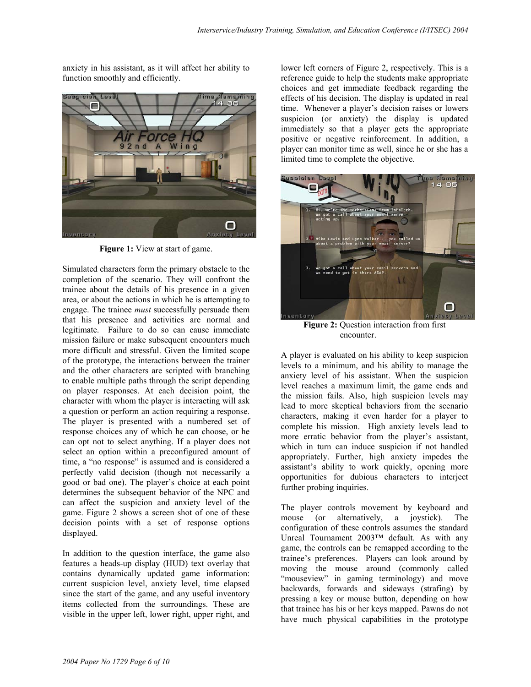anxiety in his assistant, as it will affect her ability to function smoothly and efficiently.



**Figure 1:** View at start of game.

Simulated characters form the primary obstacle to the completion of the scenario. They will confront the trainee about the details of his presence in a given area, or about the actions in which he is attempting to engage. The trainee *must* successfully persuade them that his presence and activities are normal and legitimate. Failure to do so can cause immediate mission failure or make subsequent encounters much more difficult and stressful. Given the limited scope of the prototype, the interactions between the trainer and the other characters are scripted with branching to enable multiple paths through the script depending on player responses. At each decision point, the character with whom the player is interacting will ask a question or perform an action requiring a response. The player is presented with a numbered set of response choices any of which he can choose, or he can opt not to select anything. If a player does not select an option within a preconfigured amount of time, a "no response" is assumed and is considered a perfectly valid decision (though not necessarily a good or bad one). The player's choice at each point determines the subsequent behavior of the NPC and can affect the suspicion and anxiety level of the game. Figure 2 shows a screen shot of one of these decision points with a set of response options displayed.

In addition to the question interface, the game also features a heads-up display (HUD) text overlay that contains dynamically updated game information: current suspicion level, anxiety level, time elapsed since the start of the game, and any useful inventory items collected from the surroundings. These are visible in the upper left, lower right, upper right, and

lower left corners of Figure 2, respectively. This is a reference guide to help the students make appropriate choices and get immediate feedback regarding the effects of his decision. The display is updated in real time. Whenever a player's decision raises or lowers suspicion (or anxiety) the display is updated immediately so that a player gets the appropriate positive or negative reinforcement. In addition, a player can monitor time as well, since he or she has a limited time to complete the objective.



**Figure 2:** Question interaction from first encounter.

A player is evaluated on his ability to keep suspicion levels to a minimum, and his ability to manage the anxiety level of his assistant. When the suspicion level reaches a maximum limit, the game ends and the mission fails. Also, high suspicion levels may lead to more skeptical behaviors from the scenario characters, making it even harder for a player to complete his mission. High anxiety levels lead to more erratic behavior from the player's assistant, which in turn can induce suspicion if not handled appropriately. Further, high anxiety impedes the assistant's ability to work quickly, opening more opportunities for dubious characters to interject further probing inquiries.

The player controls movement by keyboard and mouse (or alternatively, a joystick). The configuration of these controls assumes the standard Unreal Tournament 2003™ default. As with any game, the controls can be remapped according to the trainee's preferences. Players can look around by moving the mouse around (commonly called "mouseview" in gaming terminology) and move backwards, forwards and sideways (strafing) by pressing a key or mouse button, depending on how that trainee has his or her keys mapped. Pawns do not have much physical capabilities in the prototype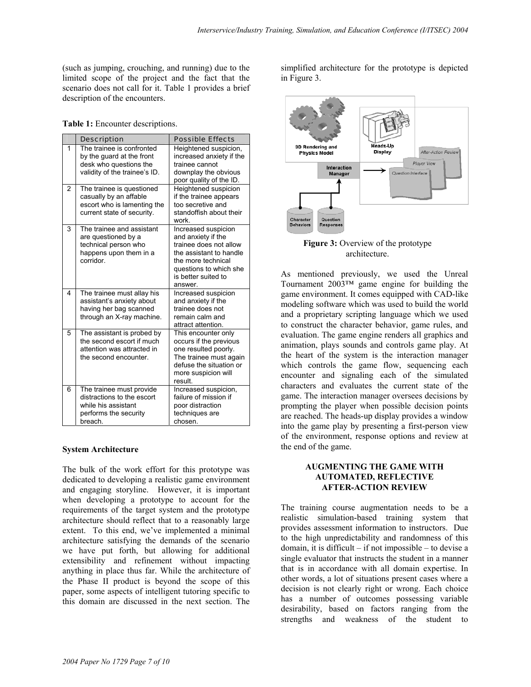(such as jumping, crouching, and running) due to the limited scope of the project and the fact that the scenario does not call for it. Table 1 provides a brief description of the encounters.

|  |  |  | Table 1: Encounter descriptions. |  |
|--|--|--|----------------------------------|--|
|--|--|--|----------------------------------|--|

|                | Description                                                                                                       | <b>Possible Effects</b>                                                                                                                                                          |
|----------------|-------------------------------------------------------------------------------------------------------------------|----------------------------------------------------------------------------------------------------------------------------------------------------------------------------------|
| 1              | The trainee is confronted<br>by the guard at the front<br>desk who questions the<br>validity of the trainee's ID. | Heightened suspicion,<br>increased anxiety if the<br>trainee cannot<br>downplay the obvious<br>poor quality of the ID.                                                           |
| $\overline{2}$ | The trainee is questioned<br>casually by an affable<br>escort who is lamenting the<br>current state of security.  | Heightened suspicion<br>if the trainee appears<br>too secretive and<br>standoffish about their<br>work                                                                           |
| 3              | The trainee and assistant<br>are questioned by a<br>technical person who<br>happens upon them in a<br>corridor.   | Increased suspicion<br>and anxiety if the<br>trainee does not allow<br>the assistant to handle<br>the more technical<br>questions to which she<br>is better suited to<br>answer. |
| 4              | The trainee must allay his<br>assistant's anxiety about<br>having her bag scanned<br>through an X-ray machine.    | Increased suspicion<br>and anxiety if the<br>trainee does not<br>remain calm and<br>attract attention.                                                                           |
| 5              | The assistant is probed by<br>the second escort if much<br>attention was attracted in<br>the second encounter.    | This encounter only<br>occurs if the previous<br>one resulted poorly.<br>The trainee must again<br>defuse the situation or<br>more suspicion will<br>result.                     |
| 6              | The trainee must provide<br>distractions to the escort<br>while his assistant<br>performs the security<br>breach. | Increased suspicion,<br>failure of mission if<br>poor distraction<br>techniques are<br>chosen.                                                                                   |

#### **System Architecture**

The bulk of the work effort for this prototype was dedicated to developing a realistic game environment and engaging storyline. However, it is important when developing a prototype to account for the requirements of the target system and the prototype architecture should reflect that to a reasonably large extent. To this end, we've implemented a minimal architecture satisfying the demands of the scenario we have put forth, but allowing for additional extensibility and refinement without impacting anything in place thus far. While the architecture of the Phase II product is beyond the scope of this paper, some aspects of intelligent tutoring specific to this domain are discussed in the next section. The

simplified architecture for the prototype is depicted in Figure 3.



**Figure 3:** Overview of the prototype architecture.

As mentioned previously, we used the Unreal Tournament 2003™ game engine for building the game environment. It comes equipped with CAD-like modeling software which was used to build the world and a proprietary scripting language which we used to construct the character behavior, game rules, and evaluation. The game engine renders all graphics and animation, plays sounds and controls game play. At the heart of the system is the interaction manager which controls the game flow, sequencing each encounter and signaling each of the simulated characters and evaluates the current state of the game. The interaction manager oversees decisions by prompting the player when possible decision points are reached. The heads-up display provides a window into the game play by presenting a first-person view of the environment, response options and review at the end of the game.

#### **AUGMENTING THE GAME WITH AUTOMATED, REFLECTIVE AFTER-ACTION REVIEW**

The training course augmentation needs to be a realistic simulation-based training system that provides assessment information to instructors. Due to the high unpredictability and randomness of this domain, it is difficult – if not impossible – to devise a single evaluator that instructs the student in a manner that is in accordance with all domain expertise. In other words, a lot of situations present cases where a decision is not clearly right or wrong. Each choice has a number of outcomes possessing variable desirability, based on factors ranging from the strengths and weakness of the student to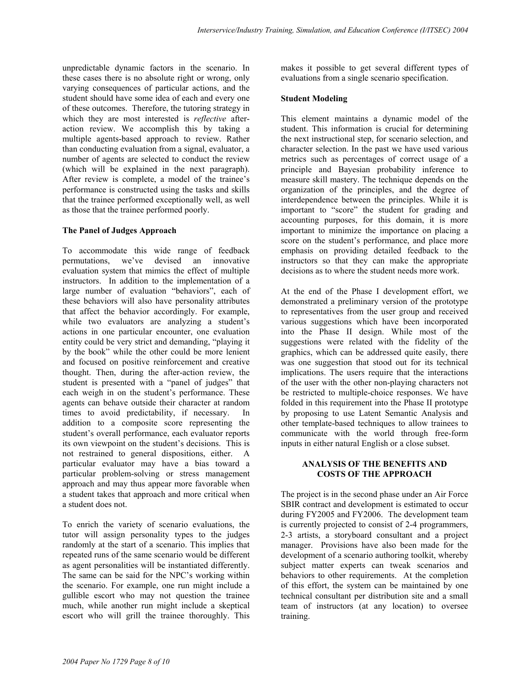unpredictable dynamic factors in the scenario. In these cases there is no absolute right or wrong, only varying consequences of particular actions, and the student should have some idea of each and every one of these outcomes. Therefore, the tutoring strategy in which they are most interested is *reflective* afteraction review. We accomplish this by taking a multiple agents-based approach to review. Rather than conducting evaluation from a signal, evaluator, a number of agents are selected to conduct the review (which will be explained in the next paragraph). After review is complete, a model of the trainee's performance is constructed using the tasks and skills that the trainee performed exceptionally well, as well as those that the trainee performed poorly.

#### **The Panel of Judges Approach**

To accommodate this wide range of feedback permutations, we've devised an innovative evaluation system that mimics the effect of multiple instructors. In addition to the implementation of a large number of evaluation "behaviors", each of these behaviors will also have personality attributes that affect the behavior accordingly. For example, while two evaluators are analyzing a student's actions in one particular encounter, one evaluation entity could be very strict and demanding, "playing it by the book" while the other could be more lenient and focused on positive reinforcement and creative thought. Then, during the after-action review, the student is presented with a "panel of judges" that each weigh in on the student's performance. These agents can behave outside their character at random times to avoid predictability, if necessary. In addition to a composite score representing the student's overall performance, each evaluator reports its own viewpoint on the student's decisions. This is not restrained to general dispositions, either. A particular evaluator may have a bias toward a particular problem-solving or stress management approach and may thus appear more favorable when a student takes that approach and more critical when a student does not.

To enrich the variety of scenario evaluations, the tutor will assign personality types to the judges randomly at the start of a scenario. This implies that repeated runs of the same scenario would be different as agent personalities will be instantiated differently. The same can be said for the NPC's working within the scenario. For example, one run might include a gullible escort who may not question the trainee much, while another run might include a skeptical escort who will grill the trainee thoroughly. This

makes it possible to get several different types of evaluations from a single scenario specification.

#### **Student Modeling**

This element maintains a dynamic model of the student. This information is crucial for determining the next instructional step, for scenario selection, and character selection. In the past we have used various metrics such as percentages of correct usage of a principle and Bayesian probability inference to measure skill mastery. The technique depends on the organization of the principles, and the degree of interdependence between the principles. While it is important to "score" the student for grading and accounting purposes, for this domain, it is more important to minimize the importance on placing a score on the student's performance, and place more emphasis on providing detailed feedback to the instructors so that they can make the appropriate decisions as to where the student needs more work.

At the end of the Phase I development effort, we demonstrated a preliminary version of the prototype to representatives from the user group and received various suggestions which have been incorporated into the Phase II design. While most of the suggestions were related with the fidelity of the graphics, which can be addressed quite easily, there was one suggestion that stood out for its technical implications. The users require that the interactions of the user with the other non-playing characters not be restricted to multiple-choice responses. We have folded in this requirement into the Phase II prototype by proposing to use Latent Semantic Analysis and other template-based techniques to allow trainees to communicate with the world through free-form inputs in either natural English or a close subset.

# **ANALYSIS OF THE BENEFITS AND COSTS OF THE APPROACH**

The project is in the second phase under an Air Force SBIR contract and development is estimated to occur during FY2005 and FY2006. The development team is currently projected to consist of 2-4 programmers, 2-3 artists, a storyboard consultant and a project manager. Provisions have also been made for the development of a scenario authoring toolkit, whereby subject matter experts can tweak scenarios and behaviors to other requirements. At the completion of this effort, the system can be maintained by one technical consultant per distribution site and a small team of instructors (at any location) to oversee training.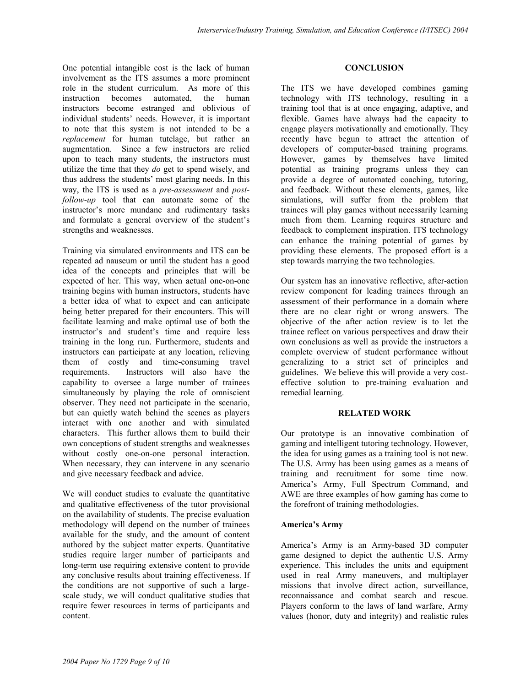One potential intangible cost is the lack of human involvement as the ITS assumes a more prominent role in the student curriculum. As more of this instruction becomes automated, the human instructors become estranged and oblivious of individual students' needs. However, it is important to note that this system is not intended to be a *replacement* for human tutelage, but rather an augmentation. Since a few instructors are relied upon to teach many students, the instructors must utilize the time that they *do* get to spend wisely, and thus address the students' most glaring needs. In this way, the ITS is used as a *pre-assessment* and *postfollow-up* tool that can automate some of the instructor's more mundane and rudimentary tasks and formulate a general overview of the student's strengths and weaknesses.

Training via simulated environments and ITS can be repeated ad nauseum or until the student has a good idea of the concepts and principles that will be expected of her. This way, when actual one-on-one training begins with human instructors, students have a better idea of what to expect and can anticipate being better prepared for their encounters. This will facilitate learning and make optimal use of both the instructor's and student's time and require less training in the long run. Furthermore, students and instructors can participate at any location, relieving them of costly and time-consuming travel requirements. Instructors will also have the capability to oversee a large number of trainees simultaneously by playing the role of omniscient observer. They need not participate in the scenario, but can quietly watch behind the scenes as players interact with one another and with simulated characters. This further allows them to build their own conceptions of student strengths and weaknesses without costly one-on-one personal interaction. When necessary, they can intervene in any scenario and give necessary feedback and advice.

We will conduct studies to evaluate the quantitative and qualitative effectiveness of the tutor provisional on the availability of students. The precise evaluation methodology will depend on the number of trainees available for the study, and the amount of content authored by the subject matter experts. Quantitative studies require larger number of participants and long-term use requiring extensive content to provide any conclusive results about training effectiveness. If the conditions are not supportive of such a largescale study, we will conduct qualitative studies that require fewer resources in terms of participants and content.

# **CONCLUSION**

The ITS we have developed combines gaming technology with ITS technology, resulting in a training tool that is at once engaging, adaptive, and flexible. Games have always had the capacity to engage players motivationally and emotionally. They recently have begun to attract the attention of developers of computer-based training programs. However, games by themselves have limited potential as training programs unless they can provide a degree of automated coaching, tutoring, and feedback. Without these elements, games, like simulations, will suffer from the problem that trainees will play games without necessarily learning much from them. Learning requires structure and feedback to complement inspiration. ITS technology can enhance the training potential of games by providing these elements. The proposed effort is a step towards marrying the two technologies.

Our system has an innovative reflective, after-action review component for leading trainees through an assessment of their performance in a domain where there are no clear right or wrong answers. The objective of the after action review is to let the trainee reflect on various perspectives and draw their own conclusions as well as provide the instructors a complete overview of student performance without generalizing to a strict set of principles and guidelines. We believe this will provide a very costeffective solution to pre-training evaluation and remedial learning.

## **RELATED WORK**

Our prototype is an innovative combination of gaming and intelligent tutoring technology. However, the idea for using games as a training tool is not new. The U.S. Army has been using games as a means of training and recruitment for some time now. America's Army, Full Spectrum Command, and AWE are three examples of how gaming has come to the forefront of training methodologies.

## **America's Army**

America's Army is an Army-based 3D computer game designed to depict the authentic U.S. Army experience. This includes the units and equipment used in real Army maneuvers, and multiplayer missions that involve direct action, surveillance, reconnaissance and combat search and rescue. Players conform to the laws of land warfare, Army values (honor, duty and integrity) and realistic rules